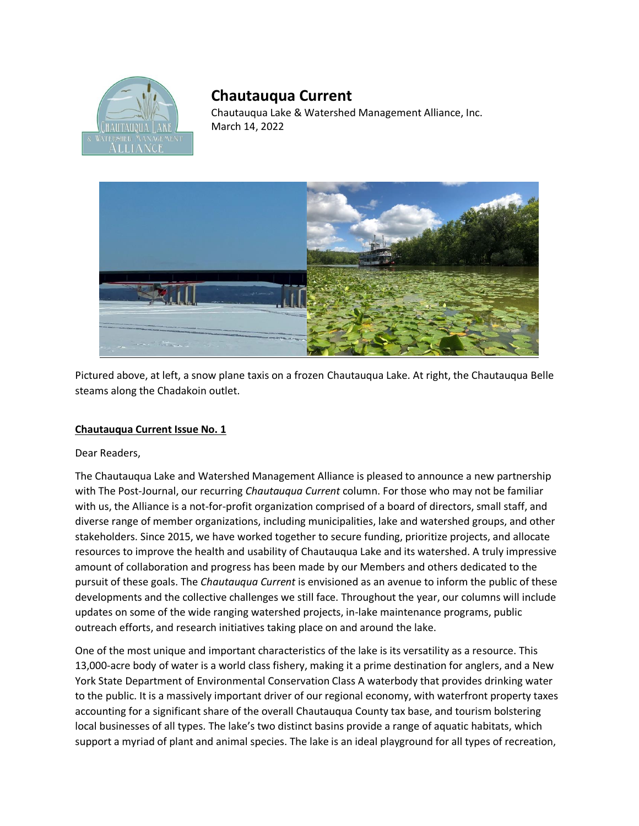

## **Chautauqua Current**

Chautauqua Lake & Watershed Management Alliance, Inc. March 14, 2022



Pictured above, at left, a snow plane taxis on a frozen Chautauqua Lake. At right, the Chautauqua Belle steams along the Chadakoin outlet.

## **Chautauqua Current Issue No. 1**

Dear Readers,

The Chautauqua Lake and Watershed Management Alliance is pleased to announce a new partnership with The Post-Journal, our recurring *Chautauqua Current* column. For those who may not be familiar with us, the Alliance is a not-for-profit organization comprised of a board of directors, small staff, and diverse range of member organizations, including municipalities, lake and watershed groups, and other stakeholders. Since 2015, we have worked together to secure funding, prioritize projects, and allocate resources to improve the health and usability of Chautauqua Lake and its watershed. A truly impressive amount of collaboration and progress has been made by our Members and others dedicated to the pursuit of these goals. The *Chautauqua Current* is envisioned as an avenue to inform the public of these developments and the collective challenges we still face. Throughout the year, our columns will include updates on some of the wide ranging watershed projects, in-lake maintenance programs, public outreach efforts, and research initiatives taking place on and around the lake.

One of the most unique and important characteristics of the lake is its versatility as a resource. This 13,000-acre body of water is a world class fishery, making it a prime destination for anglers, and a New York State Department of Environmental Conservation Class A waterbody that provides drinking water to the public. It is a massively important driver of our regional economy, with waterfront property taxes accounting for a significant share of the overall Chautauqua County tax base, and tourism bolstering local businesses of all types. The lake's two distinct basins provide a range of aquatic habitats, which support a myriad of plant and animal species. The lake is an ideal playground for all types of recreation,